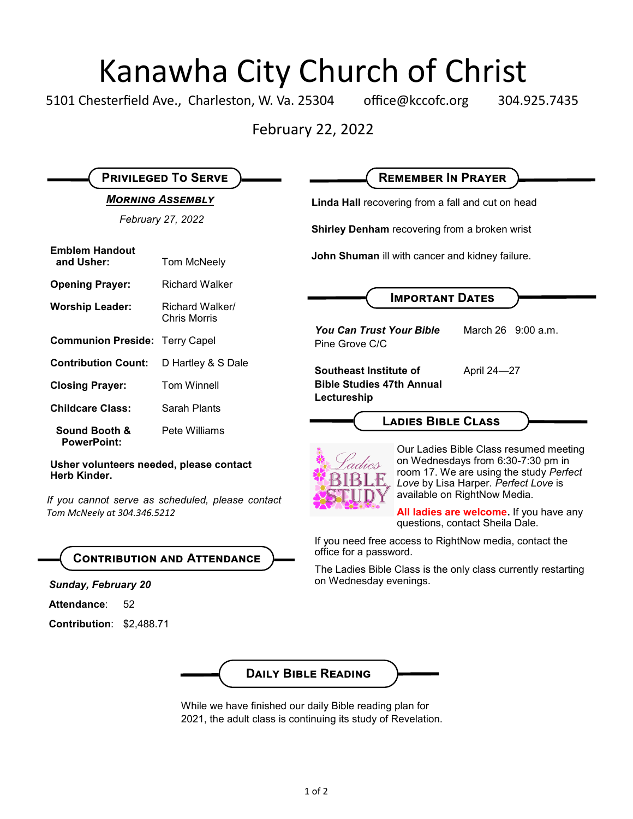# Kanawha City Church of Christ<br>esterfield Ave., Charleston, W. Va. 25304 office@kccofc.org 304.9

5101 Chesterfield Ave., Charleston, W. Va. 25304 office@kccofc.org 304.925.7435

February 22, 2022

| Linda Hall recovering from a fall and cut on head<br>February 27, 2022<br>Shirley Denham recovering from a broken wrist<br><b>Emblem Handout</b><br>John Shuman ill with cancer and kidney failure.<br>and Usher:<br>Tom McNeely<br><b>Opening Prayer:</b><br><b>Richard Walker</b><br><b>IMPORTANT DATES</b><br><b>Worship Leader:</b><br>Richard Walker/<br><b>Chris Morris</b><br>March 26 9:00 a.m.<br><b>You Can Trust Your Bible</b><br><b>Communion Preside: Terry Capel</b><br>Pine Grove C/C<br><b>Contribution Count:</b><br>D Hartley & S Dale<br>Southeast Institute of<br>April 24-27<br><b>Bible Studies 47th Annual</b><br><b>Closing Prayer:</b><br><b>Tom Winnell</b><br>Lectureship<br><b>Childcare Class:</b><br>Sarah Plants<br><b>LADIES BIBLE CLASS</b><br>Pete Williams<br>Sound Booth &<br><b>PowerPoint:</b><br>Our Ladies Bible Class resumed meeting<br>on Wednesdays from 6:30-7:30 pm in<br>Usher volunteers needed, please contact<br>room 17. We are using the study Perfect<br>Herb Kinder.<br>Love by Lisa Harper. Perfect Love is<br>available on RightNow Media.<br>If you cannot serve as scheduled, please contact<br>All ladies are welcome. If you have any<br>Tom McNeely at 304.346.5212<br>questions, contact Sheila Dale.<br>If you need free access to RightNow media, contact the<br>office for a password.<br><b>CONTRIBUTION AND ATTENDANCE</b><br>The Ladies Bible Class is the only class currently restarting<br>on Wednesday evenings.<br><b>Sunday, February 20</b><br>Attendance:<br>52<br>Contribution: \$2,488.71 | <b>MORNING ASSEMBLY</b> |  |  |
|--------------------------------------------------------------------------------------------------------------------------------------------------------------------------------------------------------------------------------------------------------------------------------------------------------------------------------------------------------------------------------------------------------------------------------------------------------------------------------------------------------------------------------------------------------------------------------------------------------------------------------------------------------------------------------------------------------------------------------------------------------------------------------------------------------------------------------------------------------------------------------------------------------------------------------------------------------------------------------------------------------------------------------------------------------------------------------------------------------------------------------------------------------------------------------------------------------------------------------------------------------------------------------------------------------------------------------------------------------------------------------------------------------------------------------------------------------------------------------------------------------------------------------------------------------------------------|-------------------------|--|--|
|                                                                                                                                                                                                                                                                                                                                                                                                                                                                                                                                                                                                                                                                                                                                                                                                                                                                                                                                                                                                                                                                                                                                                                                                                                                                                                                                                                                                                                                                                                                                                                          |                         |  |  |
|                                                                                                                                                                                                                                                                                                                                                                                                                                                                                                                                                                                                                                                                                                                                                                                                                                                                                                                                                                                                                                                                                                                                                                                                                                                                                                                                                                                                                                                                                                                                                                          |                         |  |  |
|                                                                                                                                                                                                                                                                                                                                                                                                                                                                                                                                                                                                                                                                                                                                                                                                                                                                                                                                                                                                                                                                                                                                                                                                                                                                                                                                                                                                                                                                                                                                                                          |                         |  |  |
|                                                                                                                                                                                                                                                                                                                                                                                                                                                                                                                                                                                                                                                                                                                                                                                                                                                                                                                                                                                                                                                                                                                                                                                                                                                                                                                                                                                                                                                                                                                                                                          |                         |  |  |
|                                                                                                                                                                                                                                                                                                                                                                                                                                                                                                                                                                                                                                                                                                                                                                                                                                                                                                                                                                                                                                                                                                                                                                                                                                                                                                                                                                                                                                                                                                                                                                          |                         |  |  |
|                                                                                                                                                                                                                                                                                                                                                                                                                                                                                                                                                                                                                                                                                                                                                                                                                                                                                                                                                                                                                                                                                                                                                                                                                                                                                                                                                                                                                                                                                                                                                                          |                         |  |  |
|                                                                                                                                                                                                                                                                                                                                                                                                                                                                                                                                                                                                                                                                                                                                                                                                                                                                                                                                                                                                                                                                                                                                                                                                                                                                                                                                                                                                                                                                                                                                                                          |                         |  |  |
|                                                                                                                                                                                                                                                                                                                                                                                                                                                                                                                                                                                                                                                                                                                                                                                                                                                                                                                                                                                                                                                                                                                                                                                                                                                                                                                                                                                                                                                                                                                                                                          |                         |  |  |
|                                                                                                                                                                                                                                                                                                                                                                                                                                                                                                                                                                                                                                                                                                                                                                                                                                                                                                                                                                                                                                                                                                                                                                                                                                                                                                                                                                                                                                                                                                                                                                          |                         |  |  |
|                                                                                                                                                                                                                                                                                                                                                                                                                                                                                                                                                                                                                                                                                                                                                                                                                                                                                                                                                                                                                                                                                                                                                                                                                                                                                                                                                                                                                                                                                                                                                                          |                         |  |  |
|                                                                                                                                                                                                                                                                                                                                                                                                                                                                                                                                                                                                                                                                                                                                                                                                                                                                                                                                                                                                                                                                                                                                                                                                                                                                                                                                                                                                                                                                                                                                                                          |                         |  |  |
|                                                                                                                                                                                                                                                                                                                                                                                                                                                                                                                                                                                                                                                                                                                                                                                                                                                                                                                                                                                                                                                                                                                                                                                                                                                                                                                                                                                                                                                                                                                                                                          |                         |  |  |
|                                                                                                                                                                                                                                                                                                                                                                                                                                                                                                                                                                                                                                                                                                                                                                                                                                                                                                                                                                                                                                                                                                                                                                                                                                                                                                                                                                                                                                                                                                                                                                          |                         |  |  |
|                                                                                                                                                                                                                                                                                                                                                                                                                                                                                                                                                                                                                                                                                                                                                                                                                                                                                                                                                                                                                                                                                                                                                                                                                                                                                                                                                                                                                                                                                                                                                                          |                         |  |  |
|                                                                                                                                                                                                                                                                                                                                                                                                                                                                                                                                                                                                                                                                                                                                                                                                                                                                                                                                                                                                                                                                                                                                                                                                                                                                                                                                                                                                                                                                                                                                                                          |                         |  |  |
|                                                                                                                                                                                                                                                                                                                                                                                                                                                                                                                                                                                                                                                                                                                                                                                                                                                                                                                                                                                                                                                                                                                                                                                                                                                                                                                                                                                                                                                                                                                                                                          |                         |  |  |

While we have finished our daily Bible reading plan for 2021, the adult class is continuing its study of Revelation.